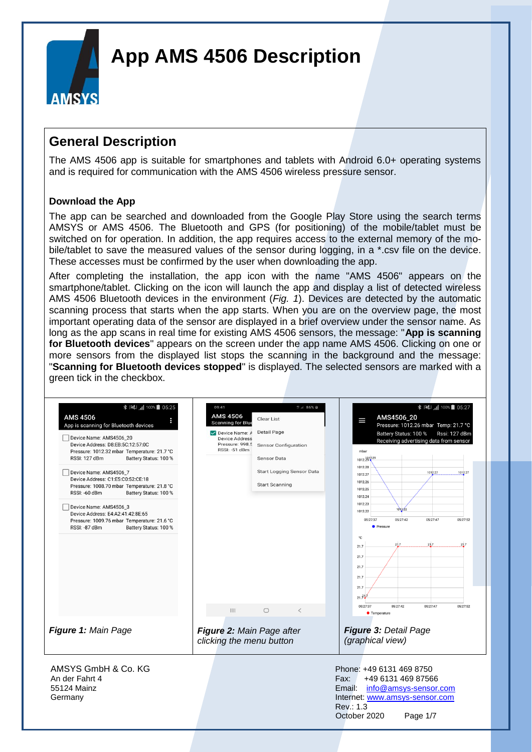

#### **General Description**

The AMS 4506 app is suitable for smartphones and tablets with Android 6.0+ operating systems and is required for communication with the AMS 4506 wireless pressure sensor.

#### **Download the App**

The app can be searched and downloaded from the Google Play Store using the search terms AMSYS or AMS 4506. The Bluetooth and GPS (for positioning) of the mobile/tablet must be switched on for operation. In addition, the app requires access to the external memory of the mobile/tablet to save the measured values of the sensor during logging, in a \*.csv file on the device. These accesses must be confirmed by the user when downloading the app.

After completing the installation, the app icon with the name "AMS 4506" appears on the smartphone/tablet. Clicking on the icon will launch the app and display a list of detected wireless AMS 4506 Bluetooth devices in the environment (*Fig. 1*). Devices are detected by the automatic scanning process that starts when the app starts. When you are on the overview page, the most important operating data of the sensor are displayed in a brief overview under the sensor name. As long as the app scans in real time for existing AMS 4506 sensors, the message: "**App is scanning for Bluetooth devices**" appears on the screen under the app name AMS 4506. Clicking on one or more sensors from the displayed list stops the scanning in the background and the message: "**Scanning for Bluetooth devices stopped**" is displayed. The selected sensors are marked with a green tick in the checkbox.

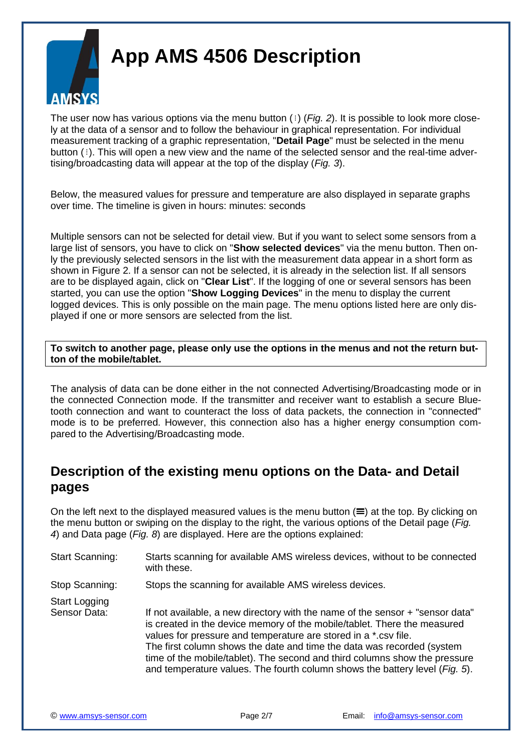

The user now has various options via the menu button  $($   $)$  (*Fig. 2*). It is possible to look more closely at the data of a sensor and to follow the behaviour in graphical representation. For individual measurement tracking of a graphic representation, "**Detail Page**" must be selected in the menu button  $(i)$ . This will open a new view and the name of the selected sensor and the real-time advertising/broadcasting data will appear at the top of the display (*Fig. 3*).

Below, the measured values for pressure and temperature are also displayed in separate graphs over time. The timeline is given in hours: minutes: seconds

Multiple sensors can not be selected for detail view. But if you want to select some sensors from a large list of sensors, you have to click on "**Show selected devices**" via the menu button. Then only the previously selected sensors in the list with the measurement data appear in a short form as shown in Figure 2. If a sensor can not be selected, it is already in the selection list. If all sensors are to be displayed again, click on "**Clear List**". If the logging of one or several sensors has been started, you can use the option "**Show Logging Devices**" in the menu to display the current logged devices. This is only possible on the main page. The menu options listed here are only displayed if one or more sensors are selected from the list.

**To switch to another page, please only use the options in the menus and not the return button of the mobile/tablet.**

The analysis of data can be done either in the not connected Advertising/Broadcasting mode or in the connected Connection mode. If the transmitter and receiver want to establish a secure Bluetooth connection and want to counteract the loss of data packets, the connection in "connected" mode is to be preferred. However, this connection also has a higher energy consumption compared to the Advertising/Broadcasting mode.

#### **Description of the existing menu options on the Data- and Detail pages**

On the left next to the displayed measured values is the menu button  $(\equiv)$  at the top. By clicking on the menu button or swiping on the display to the right, the various options of the Detail page (*Fig. 4*) and Data page (*Fig. 8*) are displayed. Here are the options explained:

- Start Scanning: Starts scanning for available AMS wireless devices, without to be connected with these.
- Stop Scanning: Stops the scanning for available AMS wireless devices.
- Start Logging Sensor Data: If not available, a new directory with the name of the sensor + "sensor data" is created in the device memory of the mobile/tablet. There the measured values for pressure and temperature are stored in a \*.csv file. The first column shows the date and time the data was recorded (system time of the mobile/tablet). The second and third columns show the pressure and temperature values. The fourth column shows the battery level (*Fig. 5*).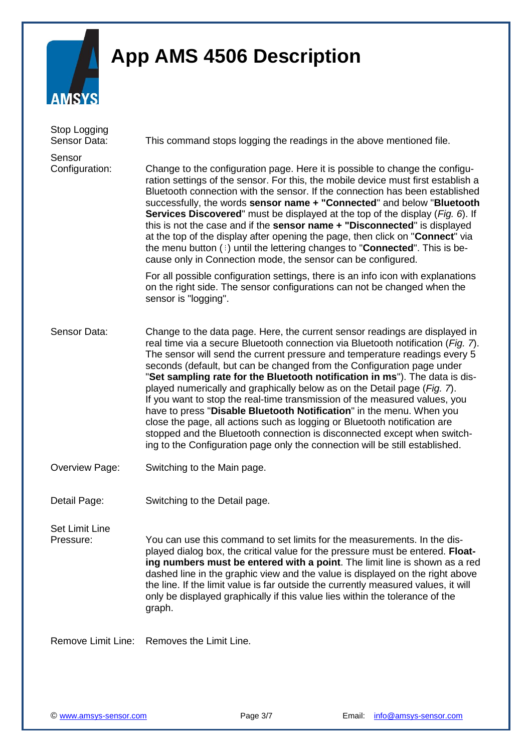

| Stop Logging<br>Sensor Data:       | This command stops logging the readings in the above mentioned file.                                                                                                                                                                                                                                                                                                                                                                                                                                                                                                                                                                                                                                                                                                                                                                                                              |  |  |  |  |  |  |
|------------------------------------|-----------------------------------------------------------------------------------------------------------------------------------------------------------------------------------------------------------------------------------------------------------------------------------------------------------------------------------------------------------------------------------------------------------------------------------------------------------------------------------------------------------------------------------------------------------------------------------------------------------------------------------------------------------------------------------------------------------------------------------------------------------------------------------------------------------------------------------------------------------------------------------|--|--|--|--|--|--|
| Sensor<br>Configuration:           | Change to the configuration page. Here it is possible to change the configu-<br>ration settings of the sensor. For this, the mobile device must first establish a<br>Bluetooth connection with the sensor. If the connection has been established<br>successfully, the words sensor name + "Connected" and below "Bluetooth<br>Services Discovered" must be displayed at the top of the display (Fig. 6). If<br>this is not the case and if the sensor name + "Disconnected" is displayed<br>at the top of the display after opening the page, then click on "Connect" via<br>the menu button $(i)$ until the lettering changes to " <b>Connected</b> ". This is be-<br>cause only in Connection mode, the sensor can be configured.                                                                                                                                              |  |  |  |  |  |  |
|                                    | For all possible configuration settings, there is an info icon with explanations<br>on the right side. The sensor configurations can not be changed when the<br>sensor is "logging".                                                                                                                                                                                                                                                                                                                                                                                                                                                                                                                                                                                                                                                                                              |  |  |  |  |  |  |
| Sensor Data:                       | Change to the data page. Here, the current sensor readings are displayed in<br>real time via a secure Bluetooth connection via Bluetooth notification (Fig. 7).<br>The sensor will send the current pressure and temperature readings every 5<br>seconds (default, but can be changed from the Configuration page under<br>"Set sampling rate for the Bluetooth notification in ms"). The data is dis-<br>played numerically and graphically below as on the Detail page (Fig. 7).<br>If you want to stop the real-time transmission of the measured values, you<br>have to press "Disable Bluetooth Notification" in the menu. When you<br>close the page, all actions such as logging or Bluetooth notification are<br>stopped and the Bluetooth connection is disconnected except when switch-<br>ing to the Configuration page only the connection will be still established. |  |  |  |  |  |  |
| <b>Overview Page:</b>              | Switching to the Main page.                                                                                                                                                                                                                                                                                                                                                                                                                                                                                                                                                                                                                                                                                                                                                                                                                                                       |  |  |  |  |  |  |
| Detail Page:                       | Switching to the Detail page.                                                                                                                                                                                                                                                                                                                                                                                                                                                                                                                                                                                                                                                                                                                                                                                                                                                     |  |  |  |  |  |  |
| <b>Set Limit Line</b><br>Pressure: | You can use this command to set limits for the measurements. In the dis-<br>played dialog box, the critical value for the pressure must be entered. Float-<br>ing numbers must be entered with a point. The limit line is shown as a red<br>dashed line in the graphic view and the value is displayed on the right above<br>the line. If the limit value is far outside the currently measured values, it will<br>only be displayed graphically if this value lies within the tolerance of the<br>graph.                                                                                                                                                                                                                                                                                                                                                                         |  |  |  |  |  |  |
|                                    | Remove Limit Line: Removes the Limit Line.                                                                                                                                                                                                                                                                                                                                                                                                                                                                                                                                                                                                                                                                                                                                                                                                                                        |  |  |  |  |  |  |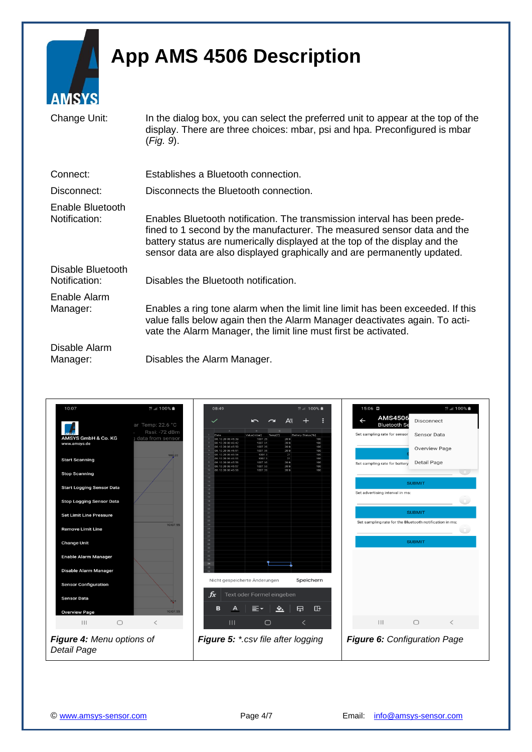

| итир го                            |                                                                                                                                                                                                                                                                                                               |
|------------------------------------|---------------------------------------------------------------------------------------------------------------------------------------------------------------------------------------------------------------------------------------------------------------------------------------------------------------|
| Change Unit:                       | In the dialog box, you can select the preferred unit to appear at the top of the<br>display. There are three choices: mbar, psi and hpa. Preconfigured is mbar<br>$(Fig. 9)$ .                                                                                                                                |
| Connect:                           | Establishes a Bluetooth connection.                                                                                                                                                                                                                                                                           |
| Disconnect:                        | Disconnects the Bluetooth connection.                                                                                                                                                                                                                                                                         |
| Enable Bluetooth<br>Notification:  | Enables Bluetooth notification. The transmission interval has been prede-<br>fined to 1 second by the manufacturer. The measured sensor data and the<br>battery status are numerically displayed at the top of the display and the<br>sensor data are also displayed graphically and are permanently updated. |
| Disable Bluetooth<br>Notification: | Disables the Bluetooth notification.                                                                                                                                                                                                                                                                          |
| Enable Alarm<br>Manager:           | Enables a ring tone alarm when the limit line limit has been exceeded. If this<br>value falls below again then the Alarm Manager deactivates again. To acti-<br>vate the Alarm Manager, the limit line must first be activated.                                                                               |
| Disable Alarm<br>Manager:          | Disables the Alarm Manager.                                                                                                                                                                                                                                                                                   |

| 10:07                            | <sup>40</sup> .il 100% ■           | 08:49                                  |                               |              | <sup>49</sup> Jil 100% ■     | 15:06 0                                                           | 19  100% ■                                              |
|----------------------------------|------------------------------------|----------------------------------------|-------------------------------|--------------|------------------------------|-------------------------------------------------------------------|---------------------------------------------------------|
|                                  | ar Temp: 22.6 °C                   | $\checkmark$                           |                               | A≣           |                              | <b>AMS4506</b><br>$\overline{\phantom{0}}$<br><b>Bluetooth Se</b> | Disconnect                                              |
|                                  | Rssi: -72 dBm                      | A.<br>Date                             | Temp[C]<br>Value[mbar]        | $\mathbf{C}$ | Battery Status[%]            | Set sampling rate for sensor                                      | <b>Sensor Data</b>                                      |
| AMSYS GmbH & Co. KG              | data from sensor                   | 08.10.20 08:45:39                      | 1007.25                       | 20.9         | 100                          |                                                                   |                                                         |
| www.amsys.de                     |                                    | 08.10.20 08:45:42<br>08.10.20 08:45:50 | 1007.31<br>1007.26            | 20.9<br>20.9 | 100<br>100                   |                                                                   | <b>Overview Page</b>                                    |
|                                  | 988.20                             | 8.10.20 08:45:51<br>08.10.20 08:45:54  | 1007.35<br>1007.3             | 20.9<br>21   | 100<br>100                   |                                                                   |                                                         |
| <b>Start Scanning</b>            |                                    | 08.10.20 08:45:55                      | 1007.3                        | 21           | 100                          |                                                                   |                                                         |
|                                  |                                    | 08.10.20 08:45:56<br>08.10.20 08:45:57 | 1007.36<br>1007.33            | 20.9<br>20.9 | 100<br>100                   | Set sampling rate for battery                                     | Detail Page                                             |
|                                  |                                    | 08.10.20 08:45:58                      | 1007.28                       | 20.9         | 100                          |                                                                   | <b>COLL</b>                                             |
| <b>Stop Scanning</b>             |                                    | 12                                     |                               |              |                              |                                                                   |                                                         |
|                                  |                                    | 14                                     |                               |              |                              |                                                                   | <b>SUBMIT</b>                                           |
| <b>Start Logging Sensor Data</b> |                                    | 15                                     |                               |              |                              |                                                                   |                                                         |
|                                  |                                    |                                        |                               |              |                              | Set advertising interval in ms:                                   |                                                         |
| <b>Stop Logging Sensor Data</b>  |                                    |                                        |                               |              |                              |                                                                   |                                                         |
|                                  |                                    | 30                                     |                               |              |                              |                                                                   |                                                         |
| <b>Set Limit Line Pressure</b>   |                                    | 21                                     |                               |              |                              |                                                                   | <b>SUBMIT</b>                                           |
|                                  |                                    | 23                                     |                               |              |                              |                                                                   |                                                         |
|                                  | 10:07:55                           | 24                                     |                               |              |                              |                                                                   | Set sampling rate for the Bluetooth notification in ms: |
| <b>Remove Limit Line</b>         |                                    | 25<br>$\mathbb{R}^n$                   |                               |              |                              |                                                                   |                                                         |
|                                  |                                    | 27                                     |                               |              |                              |                                                                   |                                                         |
| <b>Change Unit</b>               |                                    | 29                                     |                               |              |                              |                                                                   | <b>SUBMIT</b>                                           |
|                                  |                                    |                                        |                               |              |                              |                                                                   |                                                         |
| <b>Enable Alarm Manager</b>      |                                    |                                        |                               |              |                              |                                                                   |                                                         |
|                                  |                                    | 33<br>34                               |                               |              |                              |                                                                   |                                                         |
|                                  |                                    |                                        |                               |              |                              |                                                                   |                                                         |
| Disable Alarm Manager            |                                    |                                        |                               |              |                              |                                                                   |                                                         |
|                                  |                                    |                                        | Nicht gespeicherte Änderungen |              | Speichern                    |                                                                   |                                                         |
| <b>Sensor Configuration</b>      |                                    |                                        |                               |              |                              |                                                                   |                                                         |
|                                  |                                    |                                        |                               |              |                              |                                                                   |                                                         |
| <b>Sensor Data</b>               |                                    | $f_x$                                  | Text oder Formel eingeben     |              |                              |                                                                   |                                                         |
|                                  | 22.6                               |                                        |                               |              |                              |                                                                   |                                                         |
| <b>Overview Page</b>             | 10:07:55                           | в<br>А                                 |                               | ◆.           | 中<br>吜                       |                                                                   |                                                         |
|                                  |                                    |                                        |                               |              |                              |                                                                   |                                                         |
| $\bigcirc$<br>$\mathbf{III}$     | $\lt$                              | $\mathbf{III}$                         | $\bigcirc$                    |              | く                            | $\mathbf{H}$                                                      | $\bigcirc$<br>$\overline{\left\langle \right\rangle }$  |
|                                  |                                    |                                        |                               |              |                              |                                                                   |                                                         |
|                                  |                                    |                                        |                               |              |                              |                                                                   |                                                         |
| Figure 4: Menu options of        | Figure 5: *.csv file after logging |                                        |                               |              | Figure 6: Configuration Page |                                                                   |                                                         |
|                                  |                                    |                                        |                               |              |                              |                                                                   |                                                         |
| Detail Page                      |                                    |                                        |                               |              |                              |                                                                   |                                                         |
|                                  |                                    |                                        |                               |              |                              |                                                                   |                                                         |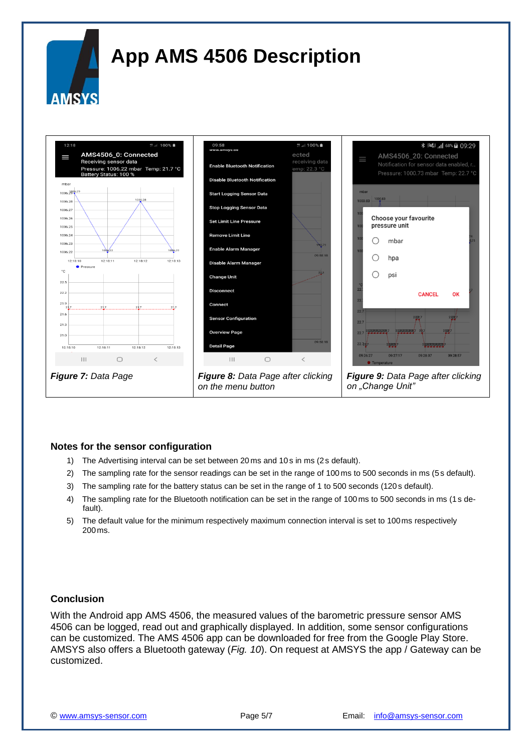

#### **Notes for the sensor configuration**

- 1) The Advertising interval can be set between 20 ms and 10 s in ms (2s default).
- 2) The sampling rate for the sensor readings can be set in the range of 100 ms to 500 seconds in ms (5s default).
- 3) The sampling rate for the battery status can be set in the range of 1 to 500 seconds (120 s default).
- 4) The sampling rate for the Bluetooth notification can be set in the range of 100ms to 500 seconds in ms (1s default).
- 5) The default value for the minimum respectively maximum connection interval is set to 100ms respectively 200ms.

#### **Conclusion**

With the Android app AMS 4506, the measured values of the barometric pressure sensor AMS 4506 can be logged, read out and graphically displayed. In addition, some sensor configurations can be customized. The AMS 4506 app can be downloaded for free from the Google Play Store. AMSYS also offers a Bluetooth gateway (*Fig. 10*). On request at AMSYS the app / Gateway can be customized.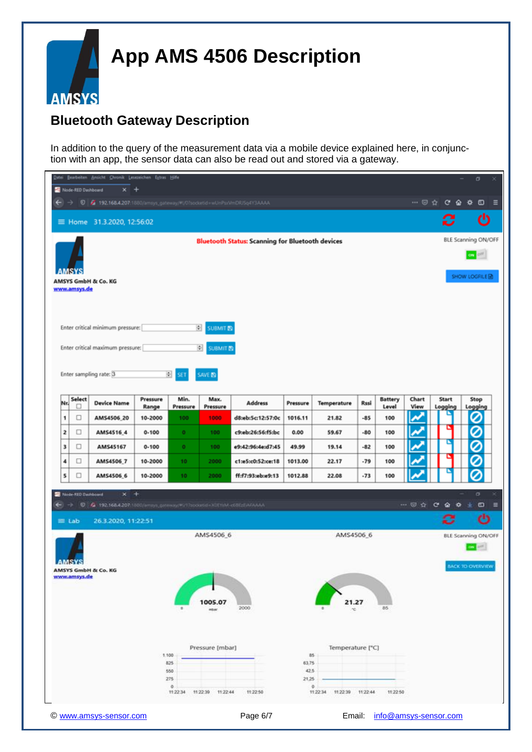

### **Bluetooth Gateway Description**

In addition to the query of the measurement data via a mobile device explained here, in conjunction with an app, the sensor data can also be read out and stored via a gateway.

|                                                                                                                                                  |                                      | Datei Bearbeiten Ansicht Chronik Lesezeichen Extras Hilfe                            |                  |                      |                      |                   |          |                           |          |                       |       |                  | σ                   |            |
|--------------------------------------------------------------------------------------------------------------------------------------------------|--------------------------------------|--------------------------------------------------------------------------------------|------------------|----------------------|----------------------|-------------------|----------|---------------------------|----------|-----------------------|-------|------------------|---------------------|------------|
| Node-RED Dashboard<br>$x +$<br>$\leftarrow$ $\rightarrow$ $\bullet$ $\bullet$ 192.168.4.207:1880/amsys_gateway/#U0?socketid=wUnPsxVmDRUSq4Y3AAAA |                                      |                                                                                      |                  |                      |                      |                   |          |                           |          |                       |       |                  | ≡                   |            |
|                                                                                                                                                  |                                      |                                                                                      |                  |                      |                      |                   |          |                           |          |                       |       |                  |                     |            |
|                                                                                                                                                  | ტ<br>C<br>≡ Home 31.3.2020, 12:56:02 |                                                                                      |                  |                      |                      |                   |          |                           |          |                       |       |                  |                     |            |
| <b>Bluetooth Status: Scanning for Bluetooth devices</b>                                                                                          |                                      |                                                                                      |                  |                      |                      |                   |          |                           |          |                       |       |                  | BLE Scanning ON/OFF |            |
|                                                                                                                                                  |                                      |                                                                                      |                  |                      |                      |                   |          |                           |          |                       |       |                  | ON OFF              |            |
|                                                                                                                                                  |                                      |                                                                                      |                  |                      |                      |                   |          |                           |          |                       |       | SHOW LOGFILE固    |                     |            |
|                                                                                                                                                  | AMSYS GmbH & Co. KG<br>www.amsys.de  |                                                                                      |                  |                      |                      |                   |          |                           |          |                       |       |                  |                     |            |
|                                                                                                                                                  |                                      |                                                                                      |                  |                      |                      |                   |          |                           |          |                       |       |                  |                     |            |
|                                                                                                                                                  |                                      |                                                                                      |                  |                      |                      |                   |          |                           |          |                       |       |                  |                     |            |
| 회<br>Enter critical minimum pressure:<br>SUBMIT <sub>E</sub>                                                                                     |                                      |                                                                                      |                  |                      |                      |                   |          |                           |          |                       |       |                  |                     |            |
|                                                                                                                                                  |                                      | Enter critical maximum pressure:                                                     |                  |                      | 쒸<br>SUBMIT 图        |                   |          |                           |          |                       |       |                  |                     |            |
|                                                                                                                                                  |                                      |                                                                                      |                  |                      |                      |                   |          |                           |          |                       |       |                  |                     |            |
|                                                                                                                                                  |                                      | Enter sampling rate: 3                                                               |                  | 闽                    | SAVE <b>EQ</b>       |                   |          |                           |          |                       |       |                  |                     |            |
| Nr.                                                                                                                                              | Select                               | <b>Device Name</b>                                                                   | Pressure         | Min.                 | Max.                 | <b>Address</b>    | Pressure | Temperature               | Rssi     | <b>Battery</b>        | Chart | <b>Start</b>     | Stop                |            |
| 1                                                                                                                                                | o<br>□                               | AMS4506_20                                                                           | Range<br>10-2000 | Pressure<br>100      | Pressure<br>1000     | d8:eb:5c:12:57:0c | 1016.11  | 21.82                     | -85      | Level<br>100          | View  | Logging          | Logging<br>0        |            |
| 2                                                                                                                                                | □                                    | AMS4516_4                                                                            | $0 - 100$        | $\bullet$            | 100                  | c9:eb:26:56:f5:bc | 0.00     | 59.67                     | $-80$    | 100                   |       |                  | Ø                   |            |
| з                                                                                                                                                | □                                    | AMS45167                                                                             | $0 - 100$        | $\bullet$            | 100                  | e9:42:96:4e:d7:45 | 49.99    | 19.14                     | $-82$    | 100                   | H     | Ľ                | 0                   |            |
| 4                                                                                                                                                | □                                    | AMS4506_7                                                                            | 10-2000          | 10                   | 2000                 | c1:e5:c0:52:ce:18 | 1013.00  | 22.17                     | -79      | 100                   |       |                  | 0                   |            |
| 5                                                                                                                                                | □                                    | AMS4506_6                                                                            | 10-2000          | 10                   | 2000                 | ff:f7:93:eb:e9:13 | 1012.88  | 22.08                     | $-73$    | 100                   |       |                  | 0                   |            |
|                                                                                                                                                  | Node-RED Dashboard                   | $x +$                                                                                |                  |                      |                      |                   |          |                           |          |                       |       |                  | ۰                   |            |
| ←                                                                                                                                                |                                      | $\rightarrow$ 0 $6$ 192.168.4.207.1880/ampp.gateway. FITTo contribution of ECENTAAAA |                  |                      |                      |                   |          |                           |          |                       |       | $-  0 0 0 0 0 1$ |                     | $\omega$ = |
| $\equiv$ Lab                                                                                                                                     |                                      | 26.3.2020, 11:22:51                                                                  |                  |                      |                      |                   |          |                           |          |                       |       |                  | ಲ                   |            |
| AMS4506 6                                                                                                                                        |                                      |                                                                                      |                  |                      |                      |                   |          | AMS4506_6                 |          |                       |       |                  | BLE Scanning ON/OFF |            |
|                                                                                                                                                  |                                      |                                                                                      |                  |                      |                      |                   |          |                           |          |                       |       |                  | on off              |            |
|                                                                                                                                                  | AMSYS                                | <b>AMSYS GmbH &amp; Co. KG</b>                                                       |                  |                      |                      |                   |          |                           |          |                       |       |                  | BACK TO OVERVIEW    |            |
| www.amsys.de                                                                                                                                     |                                      |                                                                                      |                  |                      |                      |                   |          |                           |          |                       |       |                  |                     |            |
| 005.07                                                                                                                                           |                                      |                                                                                      |                  |                      |                      |                   |          |                           |          |                       |       |                  |                     |            |
|                                                                                                                                                  |                                      |                                                                                      |                  |                      | mibute               | 2000              |          |                           |          | 85                    |       |                  |                     |            |
|                                                                                                                                                  |                                      |                                                                                      |                  |                      |                      |                   |          |                           |          |                       |       |                  |                     |            |
| Temperature [°C]                                                                                                                                 |                                      |                                                                                      |                  |                      |                      |                   |          |                           |          |                       |       |                  |                     |            |
|                                                                                                                                                  |                                      |                                                                                      |                  | 1.100<br>825         | Pressure [mbar]      |                   | 63.75    | 85                        |          |                       |       |                  |                     |            |
| 42,5<br>550                                                                                                                                      |                                      |                                                                                      |                  |                      |                      |                   |          |                           |          |                       |       |                  |                     |            |
|                                                                                                                                                  |                                      |                                                                                      |                  | 275<br>۰<br>11:22:34 | 11:22:39<br>11:22:44 | 11:22:50          | 21,25    | ۰<br>11:22:34<br>11:22:39 | 11:22:44 | 11:22:50              |       |                  |                     |            |
|                                                                                                                                                  |                                      |                                                                                      |                  |                      |                      |                   |          |                           |          |                       |       |                  |                     |            |
|                                                                                                                                                  |                                      | © www.amsys-sensor.com                                                               |                  |                      |                      | Page 6/7          |          | Email:                    |          | info@amsys-sensor.com |       |                  |                     |            |